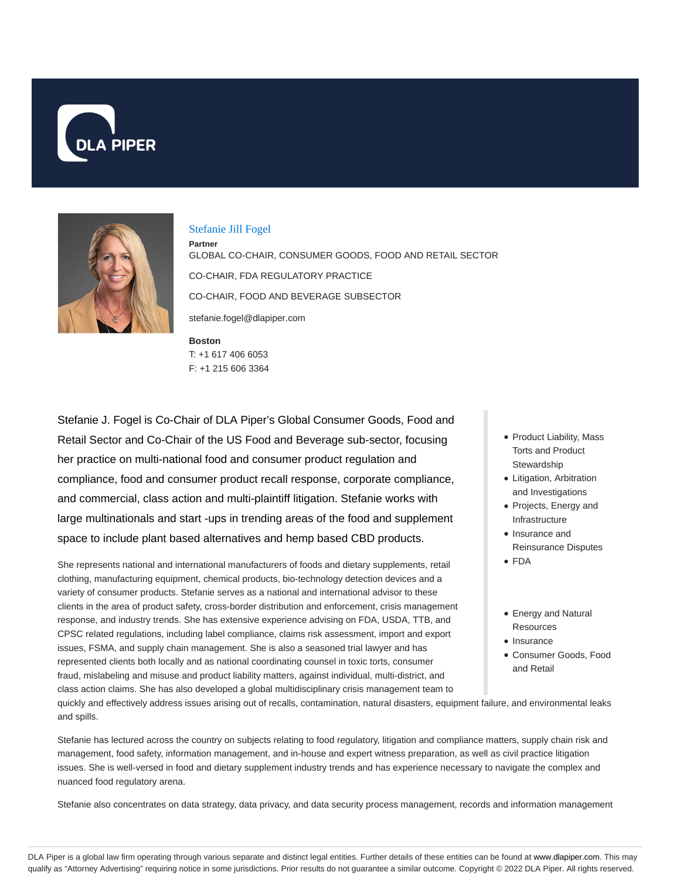



### Stefanie Jill Fogel

**Boston Partner** GLOBAL CO-CHAIR, CONSUMER GOODS, FOOD AND RETAIL SECTOR CO-CHAIR, FDA REGULATORY PRACTICE CO-CHAIR, FOOD AND BEVERAGE SUBSECTOR stefanie.fogel@dlapiper.com

T: +1 617 406 6053 F: +1 215 606 3364

Stefanie J. Fogel is Co-Chair of DLA Piper's Global Consumer Goods, Food and Retail Sector and Co-Chair of the US Food and Beverage sub-sector, focusing her practice on multi-national food and consumer product regulation and compliance, food and consumer product recall response, corporate compliance, and commercial, class action and multi-plaintiff litigation. Stefanie works with large multinationals and start -ups in trending areas of the food and supplement space to include plant based alternatives and hemp based CBD products.

She represents national and international manufacturers of foods and dietary supplements, retail clothing, manufacturing equipment, chemical products, bio-technology detection devices and a variety of consumer products. Stefanie serves as a national and international advisor to these clients in the area of product safety, cross-border distribution and enforcement, crisis management response, and industry trends. She has extensive experience advising on FDA, USDA, TTB, and CPSC related regulations, including label compliance, claims risk assessment, import and export issues, FSMA, and supply chain management. She is also a seasoned trial lawyer and has represented clients both locally and as national coordinating counsel in toxic torts, consumer fraud, mislabeling and misuse and product liability matters, against individual, multi-district, and class action claims. She has also developed a global multidisciplinary crisis management team to

- Product Liability, Mass Torts and Product Stewardship
- Litigation, Arbitration and Investigations
- Projects, Energy and Infrastructure
- Insurance and Reinsurance Disputes
- FDA
- Energy and Natural Resources
- Insurance
- Consumer Goods, Food and Retail

quickly and effectively address issues arising out of recalls, contamination, natural disasters, equipment failure, and environmental leaks and spills.

Stefanie has lectured across the country on subjects relating to food regulatory, litigation and compliance matters, supply chain risk and management, food safety, information management, and in-house and expert witness preparation, as well as civil practice litigation issues. She is well-versed in food and dietary supplement industry trends and has experience necessary to navigate the complex and nuanced food regulatory arena.

Stefanie also concentrates on data strategy, data privacy, and data security process management, records and information management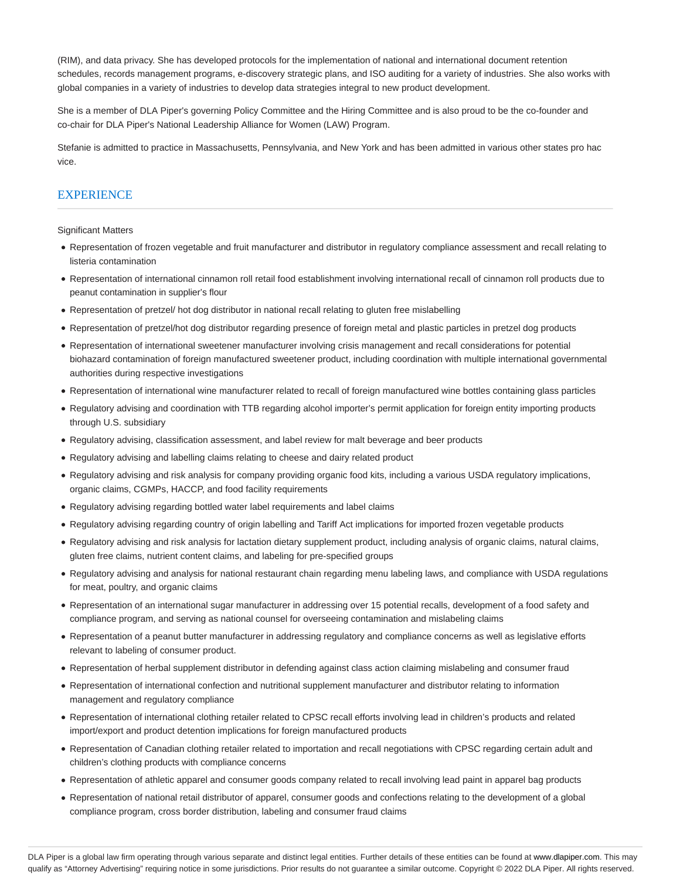(RIM), and data privacy. She has developed protocols for the implementation of national and international document retention schedules, records management programs, e-discovery strategic plans, and ISO auditing for a variety of industries. She also works with global companies in a variety of industries to develop data strategies integral to new product development.

She is a member of DLA Piper's governing Policy Committee and the Hiring Committee and is also proud to be the co-founder and co-chair for DLA Piper's National Leadership Alliance for Women (LAW) Program.

Stefanie is admitted to practice in Massachusetts, Pennsylvania, and New York and has been admitted in various other states pro hac vice.

# **EXPERIENCE**

Significant Matters

- Representation of frozen vegetable and fruit manufacturer and distributor in regulatory compliance assessment and recall relating to listeria contamination
- Representation of international cinnamon roll retail food establishment involving international recall of cinnamon roll products due to peanut contamination in supplier's flour
- Representation of pretzel/ hot dog distributor in national recall relating to gluten free mislabelling
- Representation of pretzel/hot dog distributor regarding presence of foreign metal and plastic particles in pretzel dog products
- Representation of international sweetener manufacturer involving crisis management and recall considerations for potential biohazard contamination of foreign manufactured sweetener product, including coordination with multiple international governmental authorities during respective investigations
- Representation of international wine manufacturer related to recall of foreign manufactured wine bottles containing glass particles
- Regulatory advising and coordination with TTB regarding alcohol importer's permit application for foreign entity importing products through U.S. subsidiary
- Regulatory advising, classification assessment, and label review for malt beverage and beer products
- Regulatory advising and labelling claims relating to cheese and dairy related product
- Regulatory advising and risk analysis for company providing organic food kits, including a various USDA regulatory implications, organic claims, CGMPs, HACCP, and food facility requirements
- Regulatory advising regarding bottled water label requirements and label claims
- Regulatory advising regarding country of origin labelling and Tariff Act implications for imported frozen vegetable products
- Regulatory advising and risk analysis for lactation dietary supplement product, including analysis of organic claims, natural claims, gluten free claims, nutrient content claims, and labeling for pre-specified groups
- Regulatory advising and analysis for national restaurant chain regarding menu labeling laws, and compliance with USDA regulations for meat, poultry, and organic claims
- Representation of an international sugar manufacturer in addressing over 15 potential recalls, development of a food safety and compliance program, and serving as national counsel for overseeing contamination and mislabeling claims
- Representation of a peanut butter manufacturer in addressing regulatory and compliance concerns as well as legislative efforts relevant to labeling of consumer product.
- Representation of herbal supplement distributor in defending against class action claiming mislabeling and consumer fraud
- Representation of international confection and nutritional supplement manufacturer and distributor relating to information management and regulatory compliance
- Representation of international clothing retailer related to CPSC recall efforts involving lead in children's products and related import/export and product detention implications for foreign manufactured products
- Representation of Canadian clothing retailer related to importation and recall negotiations with CPSC regarding certain adult and children's clothing products with compliance concerns
- Representation of athletic apparel and consumer goods company related to recall involving lead paint in apparel bag products
- Representation of national retail distributor of apparel, consumer goods and confections relating to the development of a global compliance program, cross border distribution, labeling and consumer fraud claims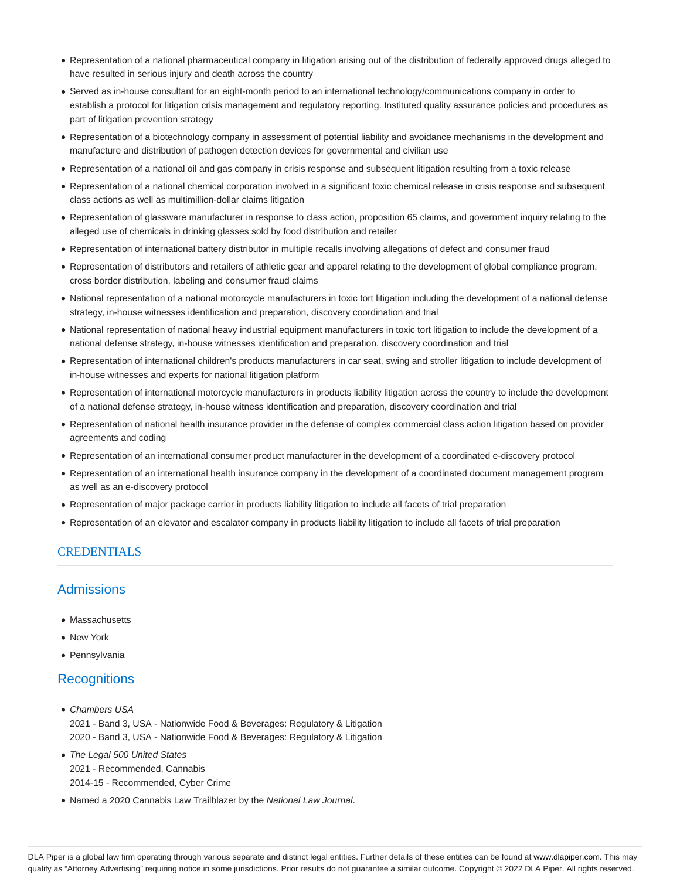- Representation of a national pharmaceutical company in litigation arising out of the distribution of federally approved drugs alleged to have resulted in serious injury and death across the country
- Served as in-house consultant for an eight-month period to an international technology/communications company in order to establish a protocol for litigation crisis management and regulatory reporting. Instituted quality assurance policies and procedures as part of litigation prevention strategy
- Representation of a biotechnology company in assessment of potential liability and avoidance mechanisms in the development and manufacture and distribution of pathogen detection devices for governmental and civilian use
- Representation of a national oil and gas company in crisis response and subsequent litigation resulting from a toxic release
- Representation of a national chemical corporation involved in a significant toxic chemical release in crisis response and subsequent class actions as well as multimillion-dollar claims litigation
- Representation of glassware manufacturer in response to class action, proposition 65 claims, and government inquiry relating to the alleged use of chemicals in drinking glasses sold by food distribution and retailer
- Representation of international battery distributor in multiple recalls involving allegations of defect and consumer fraud
- Representation of distributors and retailers of athletic gear and apparel relating to the development of global compliance program, cross border distribution, labeling and consumer fraud claims
- National representation of a national motorcycle manufacturers in toxic tort litigation including the development of a national defense strategy, in-house witnesses identification and preparation, discovery coordination and trial
- National representation of national heavy industrial equipment manufacturers in toxic tort litigation to include the development of a national defense strategy, in-house witnesses identification and preparation, discovery coordination and trial
- Representation of international children's products manufacturers in car seat, swing and stroller litigation to include development of in-house witnesses and experts for national litigation platform
- Representation of international motorcycle manufacturers in products liability litigation across the country to include the development of a national defense strategy, in-house witness identification and preparation, discovery coordination and trial
- Representation of national health insurance provider in the defense of complex commercial class action litigation based on provider agreements and coding
- Representation of an international consumer product manufacturer in the development of a coordinated e-discovery protocol
- Representation of an international health insurance company in the development of a coordinated document management program as well as an e-discovery protocol
- Representation of major package carrier in products liability litigation to include all facets of trial preparation
- Representation of an elevator and escalator company in products liability litigation to include all facets of trial preparation

## CREDENTIALS

# **Admissions**

- Massachusetts
- New York
- Pennsylvania

## **Recognitions**

- Chambers USA 2021 - Band 3, USA - Nationwide Food & Beverages: Regulatory & Litigation 2020 - Band 3, USA - Nationwide Food & Beverages: Regulatory & Litigation
- The Legal 500 United States 2021 - Recommended, Cannabis 2014-15 - Recommended, Cyber Crime
- Named a 2020 Cannabis Law Trailblazer by the National Law Journal.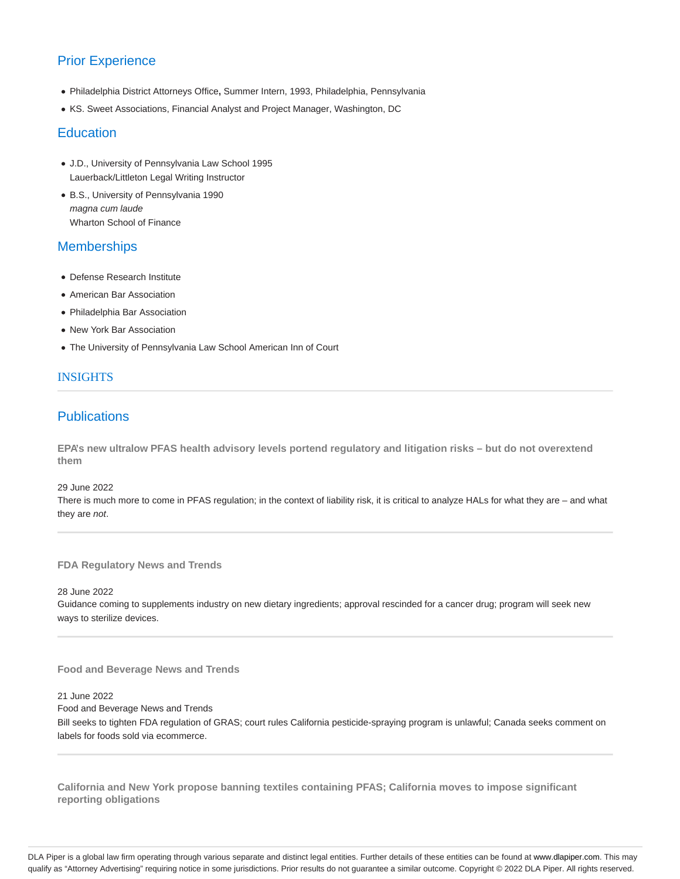# Prior Experience

- Philadelphia District Attorneys Office**,** Summer Intern, 1993, Philadelphia, Pennsylvania
- KS. Sweet Associations, Financial Analyst and Project Manager, Washington, DC

# **Education**

- J.D., University of Pennsylvania Law School 1995 Lauerback/Littleton Legal Writing Instructor
- B.S., University of Pennsylvania 1990 magna cum laude Wharton School of Finance

# **Memberships**

- Defense Research Institute
- American Bar Association
- Philadelphia Bar Association
- New York Bar Association
- The University of Pennsylvania Law School American Inn of Court

## INSIGHTS

# **Publications**

**EPA's new ultralow PFAS health advisory levels portend regulatory and litigation risks – but do not overextend them**

29 June 2022

There is much more to come in PFAS regulation; in the context of liability risk, it is critical to analyze HALs for what they are – and what they are not.

**FDA Regulatory News and Trends**

28 June 2022

Guidance coming to supplements industry on new dietary ingredients; approval rescinded for a cancer drug; program will seek new ways to sterilize devices.

**Food and Beverage News and Trends**

21 June 2022

Food and Beverage News and Trends

Bill seeks to tighten FDA regulation of GRAS; court rules California pesticide-spraying program is unlawful; Canada seeks comment on labels for foods sold via ecommerce.

**California and New York propose banning textiles containing PFAS; California moves to impose significant reporting obligations**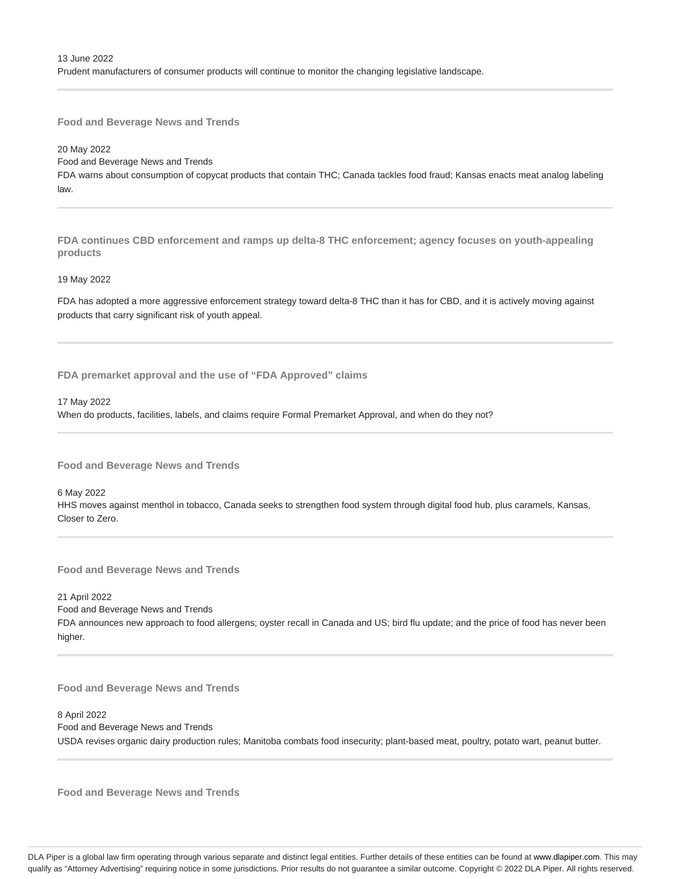### 20 May 2022 Food and Beverage News and Trends

FDA warns about consumption of copycat products that contain THC; Canada tackles food fraud; Kansas enacts meat analog labeling law.

**FDA continues CBD enforcement and ramps up delta-8 THC enforcement; agency focuses on youth-appealing products**

#### 19 May 2022

FDA has adopted a more aggressive enforcement strategy toward delta-8 THC than it has for CBD, and it is actively moving against products that carry significant risk of youth appeal.

**FDA premarket approval and the use of "FDA Approved" claims**

17 May 2022

When do products, facilities, labels, and claims require Formal Premarket Approval, and when do they not?

**Food and Beverage News and Trends**

6 May 2022

HHS moves against menthol in tobacco, Canada seeks to strengthen food system through digital food hub, plus caramels, Kansas, Closer to Zero.

**Food and Beverage News and Trends**

21 April 2022 Food and Beverage News and Trends FDA announces new approach to food allergens; oyster recall in Canada and US; bird flu update; and the price of food has never been higher.

**Food and Beverage News and Trends**

8 April 2022 Food and Beverage News and Trends USDA revises organic dairy production rules; Manitoba combats food insecurity; plant-based meat, poultry, potato wart, peanut butter.

**Food and Beverage News and Trends**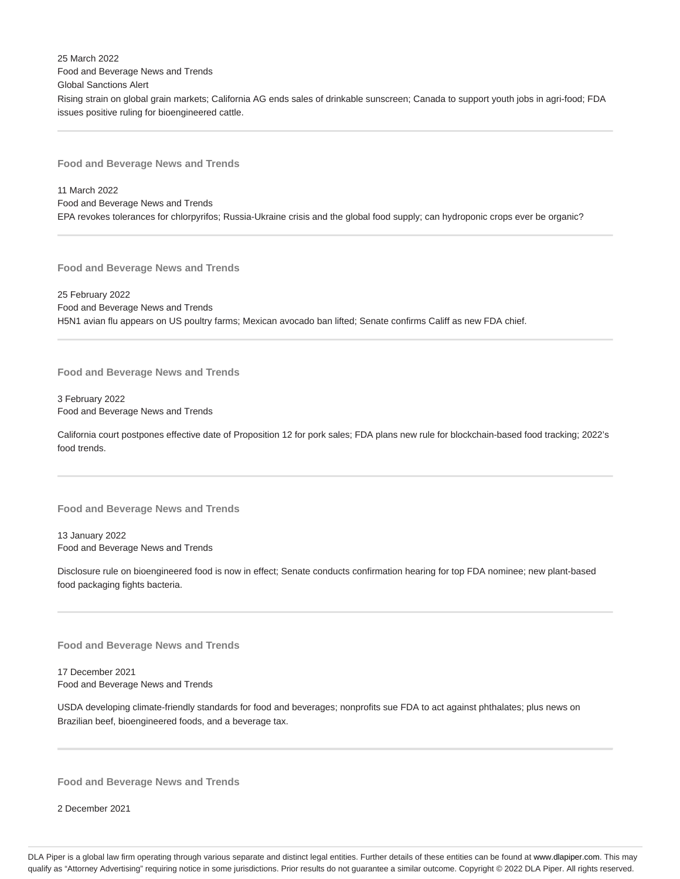25 March 2022 Food and Beverage News and Trends Global Sanctions Alert Rising strain on global grain markets; California AG ends sales of drinkable sunscreen; Canada to support youth jobs in agri-food; FDA issues positive ruling for bioengineered cattle.

**Food and Beverage News and Trends**

11 March 2022 Food and Beverage News and Trends EPA revokes tolerances for chlorpyrifos; Russia-Ukraine crisis and the global food supply; can hydroponic crops ever be organic?

**Food and Beverage News and Trends**

25 February 2022 Food and Beverage News and Trends H5N1 avian flu appears on US poultry farms; Mexican avocado ban lifted; Senate confirms Califf as new FDA chief.

**Food and Beverage News and Trends**

3 February 2022 Food and Beverage News and Trends

California court postpones effective date of Proposition 12 for pork sales; FDA plans new rule for blockchain-based food tracking; 2022's food trends.

**Food and Beverage News and Trends**

13 January 2022 Food and Beverage News and Trends

Disclosure rule on bioengineered food is now in effect; Senate conducts confirmation hearing for top FDA nominee; new plant-based food packaging fights bacteria.

**Food and Beverage News and Trends**

17 December 2021 Food and Beverage News and Trends

USDA developing climate-friendly standards for food and beverages; nonprofits sue FDA to act against phthalates; plus news on Brazilian beef, bioengineered foods, and a beverage tax.

**Food and Beverage News and Trends**

2 December 2021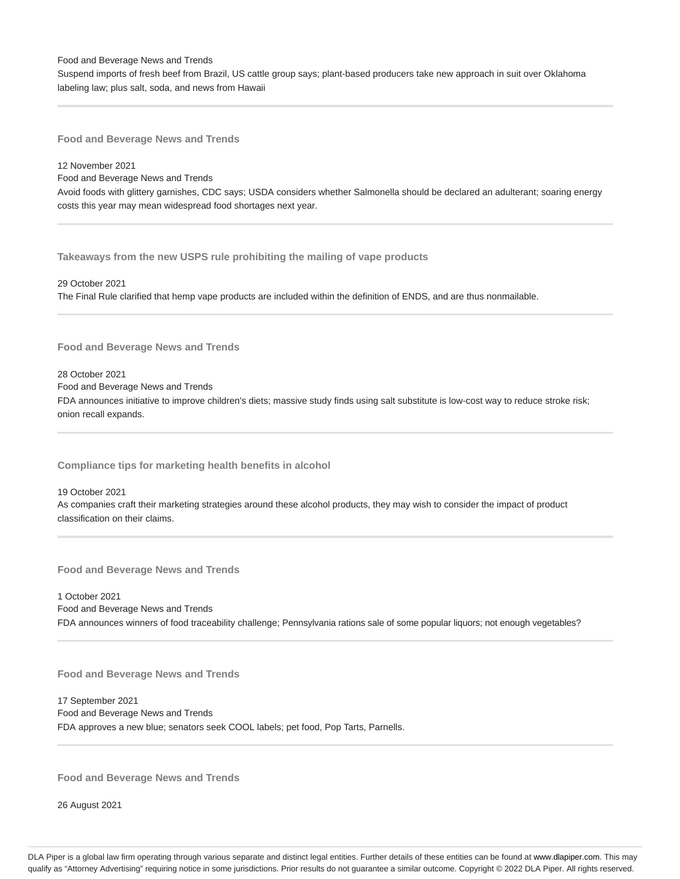Suspend imports of fresh beef from Brazil, US cattle group says; plant-based producers take new approach in suit over Oklahoma labeling law; plus salt, soda, and news from Hawaii

**Food and Beverage News and Trends**

12 November 2021

Food and Beverage News and Trends

Avoid foods with glittery garnishes, CDC says; USDA considers whether Salmonella should be declared an adulterant; soaring energy costs this year may mean widespread food shortages next year.

**Takeaways from the new USPS rule prohibiting the mailing of vape products**

29 October 2021 The Final Rule clarified that hemp vape products are included within the definition of ENDS, and are thus nonmailable.

**Food and Beverage News and Trends**

### 28 October 2021

Food and Beverage News and Trends

FDA announces initiative to improve children's diets; massive study finds using salt substitute is low-cost way to reduce stroke risk; onion recall expands.

**Compliance tips for marketing health benefits in alcohol**

19 October 2021 As companies craft their marketing strategies around these alcohol products, they may wish to consider the impact of product classification on their claims.

**Food and Beverage News and Trends**

1 October 2021 Food and Beverage News and Trends FDA announces winners of food traceability challenge; Pennsylvania rations sale of some popular liquors; not enough vegetables?

**Food and Beverage News and Trends**

17 September 2021 Food and Beverage News and Trends FDA approves a new blue; senators seek COOL labels; pet food, Pop Tarts, Parnells.

**Food and Beverage News and Trends**

26 August 2021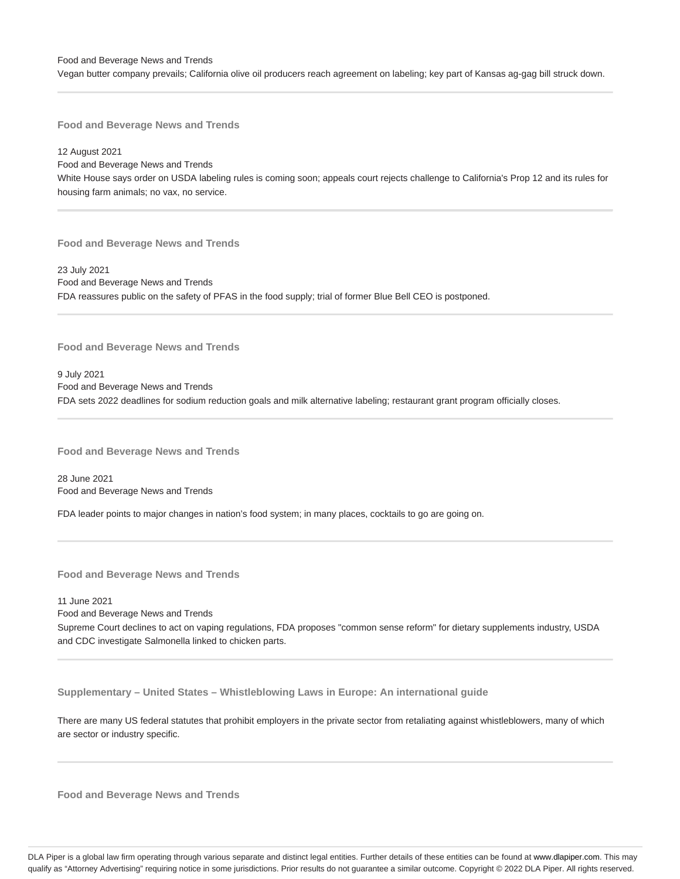Vegan butter company prevails; California olive oil producers reach agreement on labeling; key part of Kansas ag-gag bill struck down.

**Food and Beverage News and Trends**

12 August 2021 Food and Beverage News and Trends White House says order on USDA labeling rules is coming soon; appeals court rejects challenge to California's Prop 12 and its rules for housing farm animals; no vax, no service.

**Food and Beverage News and Trends**

23 July 2021 Food and Beverage News and Trends FDA reassures public on the safety of PFAS in the food supply; trial of former Blue Bell CEO is postponed.

**Food and Beverage News and Trends**

9 July 2021 Food and Beverage News and Trends FDA sets 2022 deadlines for sodium reduction goals and milk alternative labeling; restaurant grant program officially closes.

**Food and Beverage News and Trends**

28 June 2021 Food and Beverage News and Trends

FDA leader points to major changes in nation's food system; in many places, cocktails to go are going on.

**Food and Beverage News and Trends**

11 June 2021 Food and Beverage News and Trends Supreme Court declines to act on vaping regulations, FDA proposes "common sense reform" for dietary supplements industry, USDA and CDC investigate Salmonella linked to chicken parts.

**Supplementary – United States – Whistleblowing Laws in Europe: An international guide**

There are many US federal statutes that prohibit employers in the private sector from retaliating against whistleblowers, many of which are sector or industry specific.

**Food and Beverage News and Trends**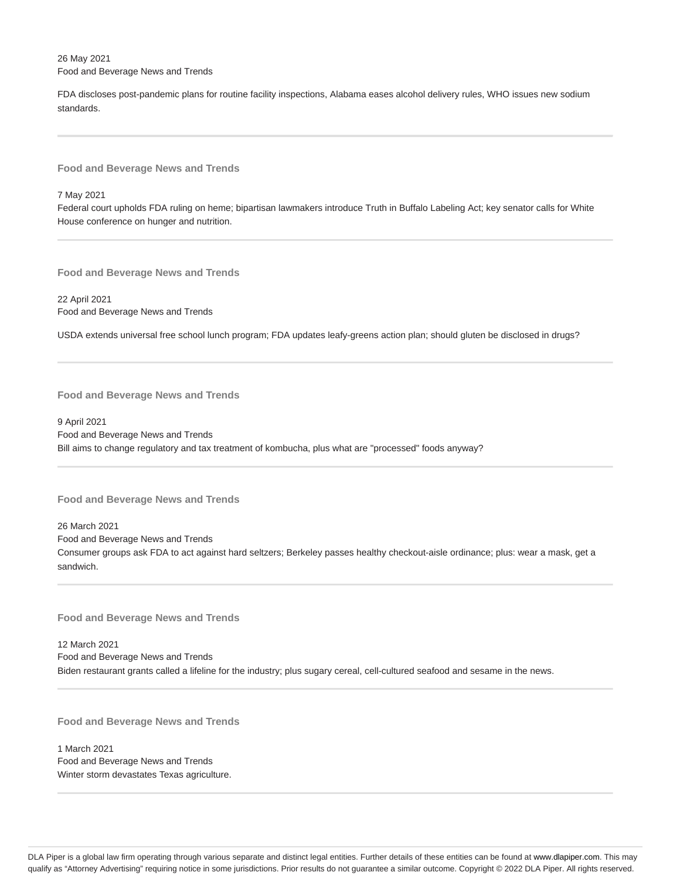26 May 2021 Food and Beverage News and Trends

FDA discloses post-pandemic plans for routine facility inspections, Alabama eases alcohol delivery rules, WHO issues new sodium standards.

**Food and Beverage News and Trends**

7 May 2021

Federal court upholds FDA ruling on heme; bipartisan lawmakers introduce Truth in Buffalo Labeling Act; key senator calls for White House conference on hunger and nutrition.

**Food and Beverage News and Trends**

22 April 2021 Food and Beverage News and Trends

USDA extends universal free school lunch program; FDA updates leafy-greens action plan; should gluten be disclosed in drugs?

**Food and Beverage News and Trends**

9 April 2021 Food and Beverage News and Trends Bill aims to change regulatory and tax treatment of kombucha, plus what are "processed" foods anyway?

**Food and Beverage News and Trends**

26 March 2021 Food and Beverage News and Trends Consumer groups ask FDA to act against hard seltzers; Berkeley passes healthy checkout-aisle ordinance; plus: wear a mask, get a sandwich.

**Food and Beverage News and Trends**

12 March 2021 Food and Beverage News and Trends Biden restaurant grants called a lifeline for the industry; plus sugary cereal, cell-cultured seafood and sesame in the news.

**Food and Beverage News and Trends**

1 March 2021 Food and Beverage News and Trends Winter storm devastates Texas agriculture.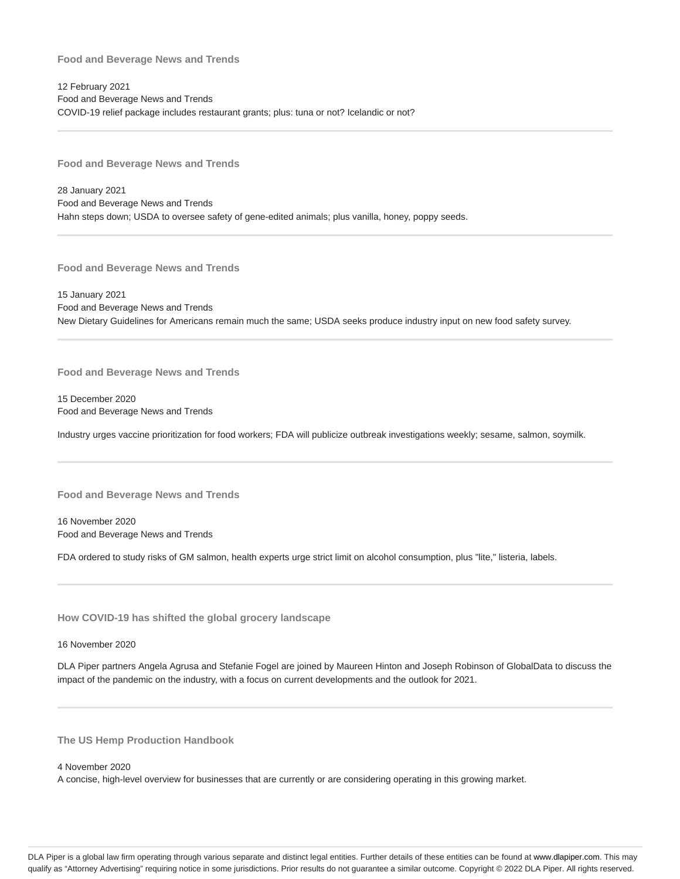12 February 2021 Food and Beverage News and Trends COVID-19 relief package includes restaurant grants; plus: tuna or not? Icelandic or not?

**Food and Beverage News and Trends**

28 January 2021 Food and Beverage News and Trends Hahn steps down; USDA to oversee safety of gene-edited animals; plus vanilla, honey, poppy seeds.

**Food and Beverage News and Trends**

15 January 2021 Food and Beverage News and Trends New Dietary Guidelines for Americans remain much the same; USDA seeks produce industry input on new food safety survey.

**Food and Beverage News and Trends**

15 December 2020 Food and Beverage News and Trends

Industry urges vaccine prioritization for food workers; FDA will publicize outbreak investigations weekly; sesame, salmon, soymilk.

**Food and Beverage News and Trends**

16 November 2020 Food and Beverage News and Trends

FDA ordered to study risks of GM salmon, health experts urge strict limit on alcohol consumption, plus "lite," listeria, labels.

**How COVID-19 has shifted the global grocery landscape**

16 November 2020

DLA Piper partners Angela Agrusa and Stefanie Fogel are joined by Maureen Hinton and Joseph Robinson of GlobalData to discuss the impact of the pandemic on the industry, with a focus on current developments and the outlook for 2021.

**The US Hemp Production Handbook**

4 November 2020

A concise, high-level overview for businesses that are currently or are considering operating in this growing market.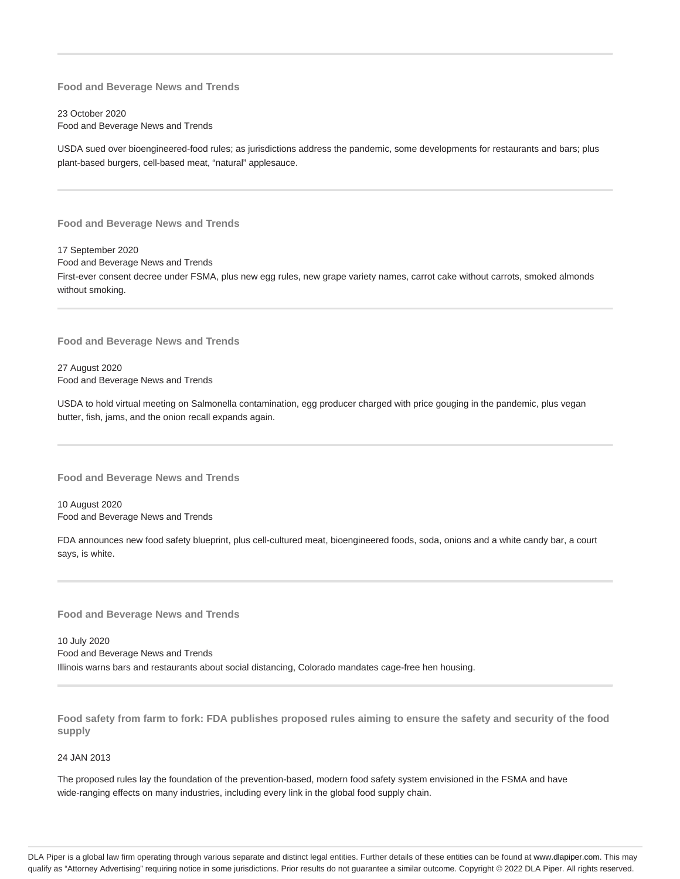23 October 2020 Food and Beverage News and Trends

USDA sued over bioengineered-food rules; as jurisdictions address the pandemic, some developments for restaurants and bars; plus plant-based burgers, cell-based meat, "natural" applesauce.

**Food and Beverage News and Trends**

17 September 2020 Food and Beverage News and Trends First-ever consent decree under FSMA, plus new egg rules, new grape variety names, carrot cake without carrots, smoked almonds without smoking.

**Food and Beverage News and Trends**

27 August 2020 Food and Beverage News and Trends

USDA to hold virtual meeting on Salmonella contamination, egg producer charged with price gouging in the pandemic, plus vegan butter, fish, jams, and the onion recall expands again.

**Food and Beverage News and Trends**

10 August 2020 Food and Beverage News and Trends

FDA announces new food safety blueprint, plus cell-cultured meat, bioengineered foods, soda, onions and a white candy bar, a court says, is white.

**Food and Beverage News and Trends**

10 July 2020 Food and Beverage News and Trends Illinois warns bars and restaurants about social distancing, Colorado mandates cage-free hen housing.

**Food safety from farm to fork: FDA publishes proposed rules aiming to ensure the safety and security of the food supply**

24 JAN 2013

The proposed rules lay the foundation of the prevention-based, modern food safety system envisioned in the FSMA and have wide-ranging effects on many industries, including every link in the global food supply chain.